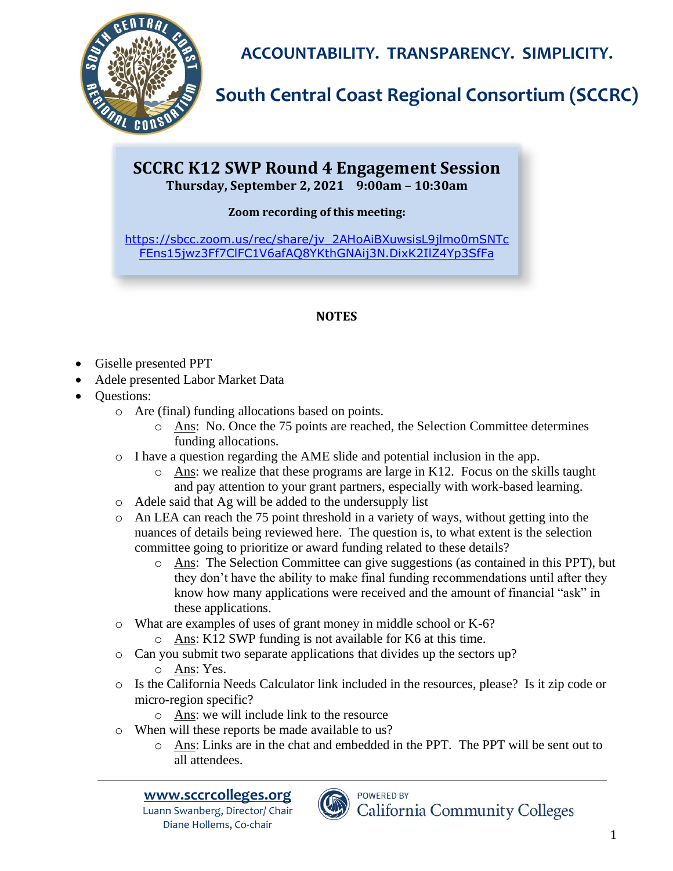

**ACCOUNTABILITY. TRANSPARENCY. SIMPLICITY.**

## **South Central Coast Regional Consortium (SCCRC)**

### **SCCRC K12 SWP Round 4 Engagement Session Thursday, September 2, 2021 9:00am – 10:30am**

#### **Zoom recording of this meeting:**

[https://sbcc.zoom.us/rec/share/jv\\_2AHoAiBXuwsisL9jlmo0mSNTc](https://sbcc.zoom.us/rec/share/jv_2AHoAiBXuwsisL9jlmo0mSNTcFEns15jwz3Ff7ClFC1V6afAQ8YKthGNAij3N.DixK2IlZ4Yp3SfFa) [FEns15jwz3Ff7ClFC1V6afAQ8YKthGNAij3N.DixK2IlZ4Yp3SfFa](https://sbcc.zoom.us/rec/share/jv_2AHoAiBXuwsisL9jlmo0mSNTcFEns15jwz3Ff7ClFC1V6afAQ8YKthGNAij3N.DixK2IlZ4Yp3SfFa)

#### **NOTES**

- Giselle presented PPT
- Adele presented Labor Market Data
- Questions:
	- o Are (final) funding allocations based on points.
		- o Ans: No. Once the 75 points are reached, the Selection Committee determines funding allocations.
	- o I have a question regarding the AME slide and potential inclusion in the app.
		- $\circ$  Ans: we realize that these programs are large in K12. Focus on the skills taught and pay attention to your grant partners, especially with work-based learning.
	- o Adele said that Ag will be added to the undersupply list
	- o An LEA can reach the 75 point threshold in a variety of ways, without getting into the nuances of details being reviewed here. The question is, to what extent is the selection committee going to prioritize or award funding related to these details?
		- o Ans: The Selection Committee can give suggestions (as contained in this PPT), but they don't have the ability to make final funding recommendations until after they know how many applications were received and the amount of financial "ask" in these applications.
	- o What are examples of uses of grant money in middle school or K-6?
		- $\circ$  Ans: K12 SWP funding is not available for K6 at this time.
	- o Can you submit two separate applications that divides up the sectors up?
		- o Ans: Yes.
	- o Is the California Needs Calculator link included in the resources, please? Is it zip code or micro-region specific?
		- o Ans: we will include link to the resource
	- o When will these reports be made available to us?
		- o Ans: Links are in the chat and embedded in the PPT. The PPT will be sent out to all attendees.



Luann Swanberg, Director/ Chair Diane Hollems, Co-chair



**POWERED BY California Community Colleges**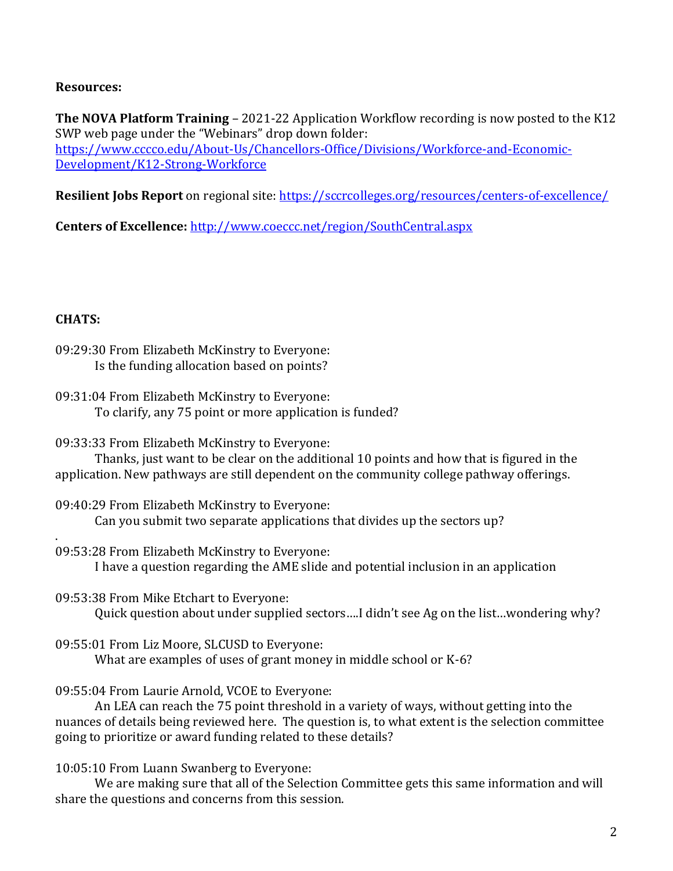#### **Resources:**

**The NOVA Platform Training** – 2021-22 Application Workflow recording is now posted to the K12 SWP web page under the "Webinars" drop down folder: [https://www.cccco.edu/About-Us/Chancellors-Office/Divisions/Workforce-and-Economic-](https://www.cccco.edu/About-Us/Chancellors-Office/Divisions/Workforce-and-Economic-Development/K12-Strong-Workforce)[Development/K12-Strong-Workforce](https://www.cccco.edu/About-Us/Chancellors-Office/Divisions/Workforce-and-Economic-Development/K12-Strong-Workforce)

**Resilient Jobs Report** on regional site:<https://sccrcolleges.org/resources/centers-of-excellence/>

**Centers of Excellence:** <http://www.coeccc.net/region/SouthCentral.aspx>

#### **CHATS:**

.

- 09:29:30 From Elizabeth McKinstry to Everyone: Is the funding allocation based on points?
- 09:31:04 From Elizabeth McKinstry to Everyone: To clarify, any 75 point or more application is funded?
- 09:33:33 From Elizabeth McKinstry to Everyone:

Thanks, just want to be clear on the additional 10 points and how that is figured in the application. New pathways are still dependent on the community college pathway offerings.

- 09:40:29 From Elizabeth McKinstry to Everyone: Can you submit two separate applications that divides up the sectors up?
- 09:53:28 From Elizabeth McKinstry to Everyone: I have a question regarding the AME slide and potential inclusion in an application
- 09:53:38 From Mike Etchart to Everyone:

Quick question about under supplied sectors….I didn't see Ag on the list…wondering why?

09:55:01 From Liz Moore, SLCUSD to Everyone:

What are examples of uses of grant money in middle school or K-6?

09:55:04 From Laurie Arnold, VCOE to Everyone:

An LEA can reach the 75 point threshold in a variety of ways, without getting into the nuances of details being reviewed here. The question is, to what extent is the selection committee going to prioritize or award funding related to these details?

10:05:10 From Luann Swanberg to Everyone:

We are making sure that all of the Selection Committee gets this same information and will share the questions and concerns from this session.